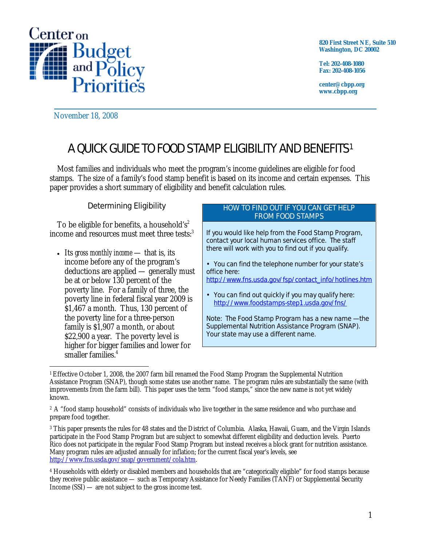

**820 First Street NE, Suite 510 Washington, DC 20002** 

**Tel: 202-408-1080 Fax: 202-408-1056** 

**center@cbpp.org www.cbpp.org** 

November 18, 2008

# A QUICK GUIDE TO FOOD STAMP ELIGIBILITY AND BENEFITS1

Most families and individuals who meet the program's income guidelines are eligible for food stamps. The size of a family's food stamp benefit is based on its income and certain expenses. This paper provides a short summary of eligibility and benefit calculation rules.

## Determining Eligibility

To be eligible for benefits, a household's<sup>2</sup> income and resources must meet three tests:<sup>3</sup>

• Its *gross monthly income* — that is, its income before any of the program's deductions are applied — generally must be at or below 130 percent of the poverty line. For a family of three, the poverty line in federal fiscal year 2009 is \$1,467 a month. Thus, 130 percent of the poverty line for a three-person family is \$1,907 a month, or about \$22,900 a year. The poverty level is higher for bigger families and lower for smaller families.<sup>4</sup>

#### HOW TO FIND OUT IF YOU CAN GET HELP FROM FOOD STAMPS

If you would like help from the Food Stamp Program, contact your local human services office. The staff there will work with you to find out if you qualify.

• You can find the telephone number for your state's office here:

http://www.fns.usda.gov/fsp/contact\_info/hotlines.htm

• You can find out quickly if you may qualify here: http://www.foodstamps-step1.usda.gov/fns/

Note: The Food Stamp Program has a new name — the Supplemental Nutrition Assistance Program (SNAP). Your state may use a different name.

 $\overline{a}$ 1 Effective October 1, 2008, the 2007 farm bill renamed the Food Stamp Program the Supplemental Nutrition Assistance Program (SNAP), though some states use another name. The program rules are substantially the same (with improvements from the farm bill). This paper uses the term "food stamps," since the new name is not yet widely known.

<sup>2</sup> A "food stamp household" consists of individuals who live together in the same residence and who purchase and prepare food together.

<sup>3</sup> This paper presents the rules for 48 states and the District of Columbia. Alaska, Hawaii, Guam, and the Virgin Islands participate in the Food Stamp Program but are subject to somewhat different eligibility and deduction levels. Puerto Rico does not participate in the regular Food Stamp Program but instead receives a block grant for nutrition assistance. Many program rules are adjusted annually for inflation; for the current fiscal year's levels, see http://www.fns.usda.gov/snap/government/cola.htm.

<sup>4</sup> Households with elderly or disabled members and households that are "categorically eligible" for food stamps because they receive public assistance — such as Temporary Assistance for Needy Families (TANF) or Supplemental Security Income (SSI) — are not subject to the gross income test.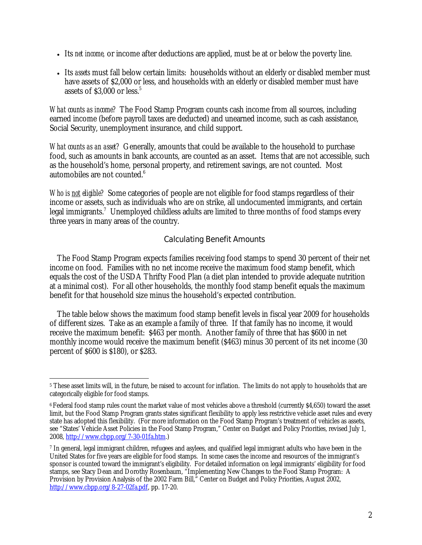- Its *net income,* or income after deductions are applied, must be at or below the poverty line.
- Its *assets* must fall below certain limits: households without an elderly or disabled member must have assets of \$2,000 or less, and households with an elderly or disabled member must have assets of  $$3,000$  or less.<sup>5</sup>

*What counts as income?* The Food Stamp Program counts cash income from all sources, including earned income (before payroll taxes are deducted) and unearned income, such as cash assistance, Social Security, unemployment insurance, and child support.

*What counts as an asset?* Generally, amounts that could be available to the household to purchase food, such as amounts in bank accounts, are counted as an asset. Items that are not accessible, such as the household's home, personal property, and retirement savings, are not counted. Most automobiles are not counted. $6$ 

*Who is not eligible?* Some categories of people are not eligible for food stamps regardless of their income or assets, such as individuals who are on strike, all undocumented immigrants, and certain legal immigrants.<sup>7</sup> Unemployed childless adults are limited to three months of food stamps every three years in many areas of the country.

## Calculating Benefit Amounts

The Food Stamp Program expects families receiving food stamps to spend 30 percent of their net income on food. Families with no net income receive the maximum food stamp benefit, which equals the cost of the USDA Thrifty Food Plan (a diet plan intended to provide adequate nutrition at a minimal cost). For all other households, the monthly food stamp benefit equals the maximum benefit for that household size minus the household's expected contribution.

The table below shows the maximum food stamp benefit levels in fiscal year 2009 for households of different sizes. Take as an example a family of three. If that family has no income, it would receive the maximum benefit: \$463 per month. Another family of three that has \$600 in net monthly income would receive the maximum benefit (\$463) minus 30 percent of its net income (30 percent of \$600 is \$180), or \$283.

<sup>-</sup><sup>5</sup> These asset limits will, in the future, be raised to account for inflation. The limits do not apply to households that are categorically eligible for food stamps.

<sup>6</sup> Federal food stamp rules count the market value of most vehicles above a threshold (currently \$4,650) toward the asset limit, but the Food Stamp Program grants states significant flexibility to apply less restrictive vehicle asset rules and every state has adopted this flexibility. (For more information on the Food Stamp Program's treatment of vehicles as assets, see "States' Vehicle Asset Policies in the Food Stamp Program," Center on Budget and Policy Priorities, revised July 1, 2008, http://www.cbpp.org/7-30-01fa.htm.)

<sup>7</sup> In general, legal immigrant children, refugees and asylees, and qualified legal immigrant adults who have been in the United States for five years are eligible for food stamps. In some cases the income and resources of the immigrant's sponsor is counted toward the immigrant's eligibility. For detailed information on legal immigrants' eligibility for food stamps, see Stacy Dean and Dorothy Rosenbaum, "Implementing New Changes to the Food Stamp Program: A Provision by Provision Analysis of the 2002 Farm Bill,<sup>\*</sup> Center on Budget and Policy Priorities, August 2002, http://www.cbpp.org/8-27-02fa.pdf, pp. 17-20.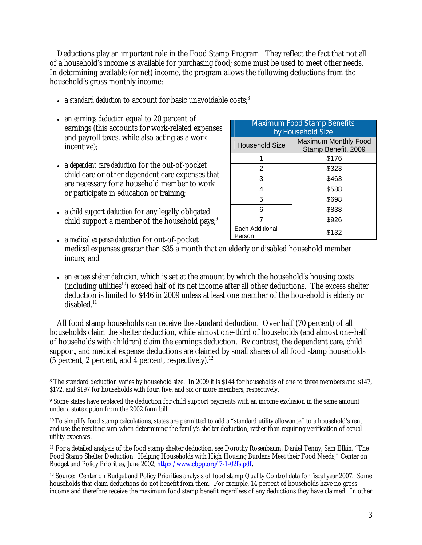Deductions play an important role in the Food Stamp Program. They reflect the fact that not all of a household's income is available for purchasing food; some must be used to meet other needs. In determining available (or net) income, the program allows the following deductions from the household's gross monthly income:

- a *standard deduction* to account for basic unavoidable costs;<sup>8</sup>
- an *earnings deduction* equal to 20 percent of earnings (this accounts for work-related expenses and payroll taxes, while also acting as a work incentive);
- a *dependent care deduction* for the out-of-pocket child care or other dependent care expenses that are necessary for a household member to work or participate in education or training;
- a *child support deduction* for any legally obligated child support a member of the household pays; $9$

| <b>Maximum Food Stamp Benefits</b> |                                                    |
|------------------------------------|----------------------------------------------------|
| by Household Size                  |                                                    |
| Household Size                     | <b>Maximum Monthly Food</b><br>Stamp Benefit, 2009 |
|                                    | \$176                                              |
| 2                                  | \$323                                              |
| 3                                  | \$463                                              |
| 4                                  | \$588                                              |
| 5                                  | \$698                                              |
| 6                                  | \$838                                              |
| 7                                  | \$926                                              |
| Each Additional<br>Person          | \$132                                              |

- a *medical expense deduction* for out-of-pocket medical expenses greater than \$35 a month that an elderly or disabled household member incurs; and
- an *excess shelter deduction*, which is set at the amount by which the household's housing costs  $(including~utilities<sup>10</sup>)$  exceed half of its net income after all other deductions. The excess shelter deduction is limited to \$446 in 2009 unless at least one member of the household is elderly or  $disabled<sup>11</sup>$

All food stamp households can receive the standard deduction. Over half (70 percent) of all households claim the shelter deduction, while almost one-third of households (and almost one-half of households with children) claim the earnings deduction. By contrast, the dependent care, child support, and medical expense deductions are claimed by small shares of all food stamp households (5 percent, 2 percent, and 4 percent, respectively). $^{12}$ 

 $\overline{a}$ 8 The standard deduction varies by household size. In 2009 it is \$144 for households of one to three members and \$147, \$172, and \$197 for households with four, five, and six or more members, respectively.

<sup>9</sup> Some states have replaced the deduction for child support payments with an income exclusion in the same amount under a state option from the 2002 farm bill.

<sup>10</sup> To simplify food stamp calculations, states are permitted to add a "standard utility allowance" to a household's rent and use the resulting sum when determining the family's shelter deduction, rather than requiring verification of actual utility expenses.

<sup>11</sup> For a detailed analysis of the food stamp shelter deduction, see Dorothy Rosenbaum, Daniel Tenny, Sam Elkin, "The Food Stamp Shelter Deduction: Helping Households with High Housing Burdens Meet their Food Needs," Center on Budget and Policy Priorities, June 2002, http://www.cbpp.org/7-1-02fs.pdf.

<sup>12</sup> Source: Center on Budget and Policy Priorities analysis of food stamp Quality Control data for fiscal year 2007. Some households that claim deductions do not benefit from them. For example, 14 percent of households have no gross income and therefore receive the maximum food stamp benefit regardless of any deductions they have claimed. In other